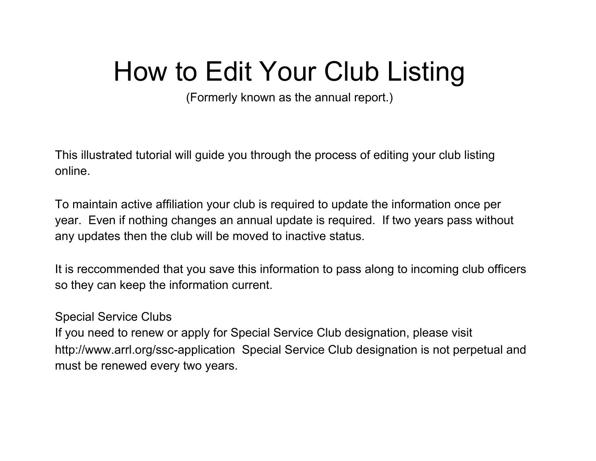# How to Edit Your Club Listing

(Formerly known as the annual report.)

This illustrated tutorial will guide you through the process of editing your club listing online.

To maintain active affiliation your club is required to update the information once per year. Even if nothing changes an annual update is required. If two years pass without any updates then the club will be moved to inactive status.

It is reccommended that you save this information to pass along to incoming club officers so they can keep the information current.

#### Special Service Clubs

If you need to renew or apply for Special Service Club designation, please visit http://www.arrl.org/ssc-application Special Service Club designation is not perpetual and must be renewed every two years.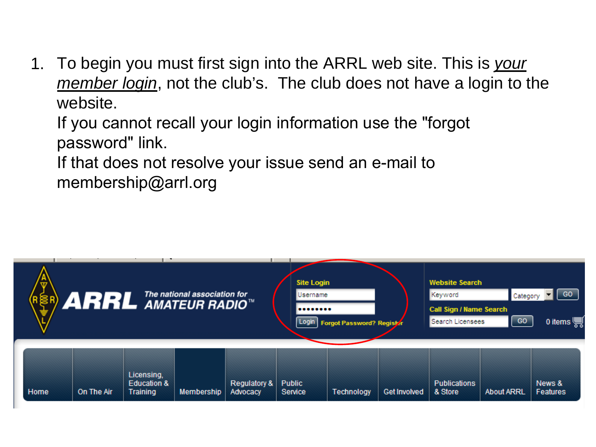1. To begin you must first sign into the ARRL web site. This is *your member login*, not the club's. The club does not have a login to the website.



If you cannot recall your login information use the "forgot password" link. If that does not resolve your issue send an e-mail to membership@arrl.org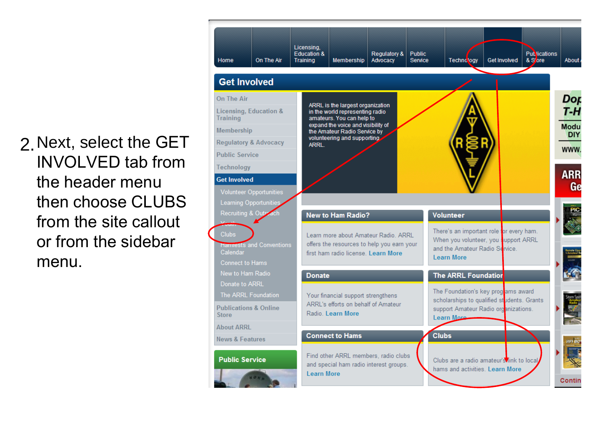2.Next, select the GET INVOLVED tab from the header menu then choose CLUBS from the site callout or from the sidebar menu.

#### Licensing, Publications<br>& Sore **Education &** Regulatory & **Public** On The Air **Training Membership** Advocacy Service Technology **Get Involved About** Home **Get Involved** Dop On The Air ARRL is the largest organization T-H Licensing, Education & in the world representing radio **Training** amateurs. You can help to expand the voice and visibility of Modu Membership the Amateur Radio Service by **DIY** volunteering and supporting **Regulatory & Advocacy ARRL. WWW Public Service** Technology **ARR Get Involved Ge Volunteer Opportunities** Learning Opportuni PIC<br>Contract Recruiting & Out **New to Ham Radio? Volunteer** There's an important role for every ham. **Clubs** Learn more about Amateur Radio. ARRL When you volunteer, you support ARRL offers the resources to help you earn your **Hamiests and Conventions** and the Amateur Radio Service. Calendar first ham radio license. Learn More **Learn More Connect to Hams** New to Ham Radio **The ARRL Foundation Donate** Donate to ARRL The Foundation's key progams award The ARRL Foundation Your financial support strengthens scholarships to qualified students. Grants ARRL's efforts on behalf of Amateur **Publications & Online** support Amateur Radio organizations. Radio, Learn More **Store Learn More About ARRL Connect to Hams Clubs News & Features** Find other ARRL members, radio clubs **Public Service** Clubs are a radio amateur's link to local and special ham radio interest groups. hams and activities. Learn More **Learn More** Contir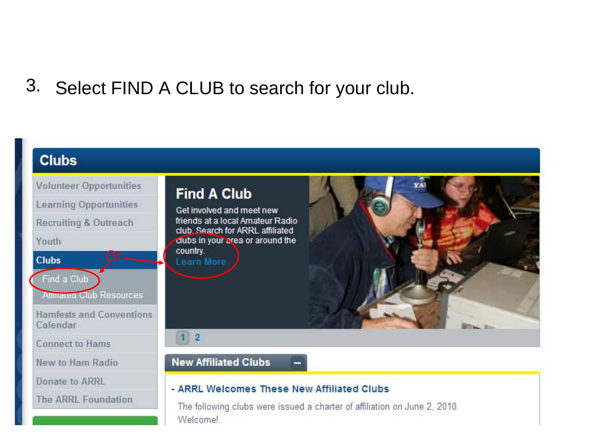### 3. Select FIND A CLUB to search for your club.

#### **Clubs Volunteer Opportunities Learning Opportunities Recruiting & Outreach** Youth Or **Clubs** Find a Club **Alliated Club Resources Hamfests and Conventions** Calendar **Connect to Hams** New to Ham Radio Donate to ARRL **The ARRL Foundation**

#### **Find A Club**

Get involved and meet new friends at a local Amateur Radio club. Search for ARRL affiliated clubs in your area or around the country. **Learn More** 

#### $1 \vert 2$

**New Affiliated Clubs** 

#### - ARRL Welcomes These New Affiliated Clubs

The following clubs were issued a charter of affiliation on June 2, 2010. Welcome!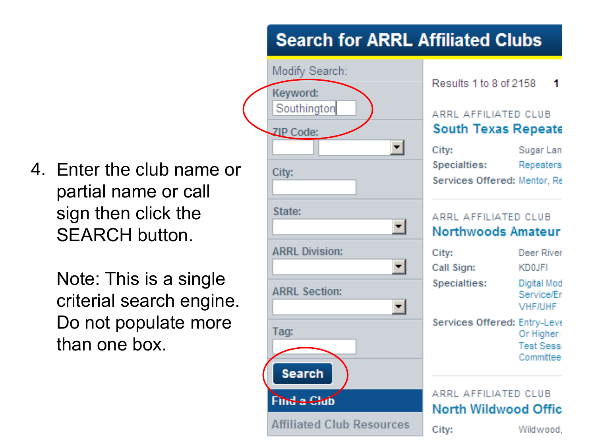4. Enter the club name or partial name or call sign then click the SEARCH button.

> Note: This is a single criterial search engine. Do not populate more than one box.

#### **Search for ARRL Affiliated Clubs**

-1

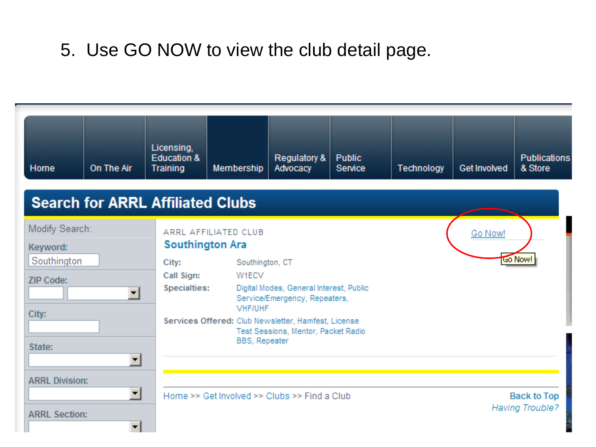### 5. Use GO NOW to view the club detail page.

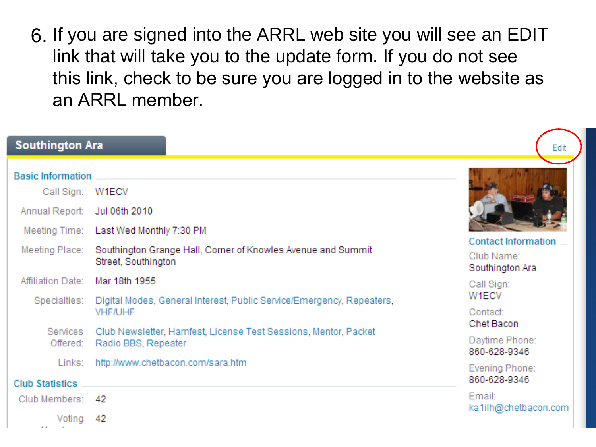6. If you are signed into the ARRL web site you will see an EDIT link that will take you to the update form. If you do not see this link, check to be sure you are logged in to the website as an ARRL member.

| <b>Southington Ara</b>                                   |                                                                                                     | Edit                                                        |
|----------------------------------------------------------|-----------------------------------------------------------------------------------------------------|-------------------------------------------------------------|
| <b>Basic Information</b><br>Call Sign:<br>Annual Report: | W1ECV<br>Jul 06th 2010<br>Meeting Time: Last Wed Monthly 7:30 PM                                    |                                                             |
| Meeting Place:                                           | Southington Grange Hall, Corner of Knowles Avenue and Summit<br>Street, Southington                 | <b>Contact Information</b><br>Club Name:<br>Southington Ara |
| Affiliation Date:                                        | Mar 18th 1955<br>Specialties: Digital Modes, General Interest, Public Service/Emergency, Repeaters, | Call Sign:<br>W <sub>1</sub> ECV                            |
| Services                                                 | <b>VHF/UHF</b><br>Club Newsletter, Hamfest, License Test Sessions, Mentor, Packet                   | Contact:<br>Chet Bacon                                      |
| Offered:                                                 | Radio BBS, Repeater                                                                                 | Daytime Phone:<br>860-628-9346                              |
| Links:<br><b>Club Statistics</b>                         | http://www.chetbacon.com/sara.htm                                                                   | Evening Phone:<br>860-628-9346                              |
| Club Members: 42<br>Voting                               | 42                                                                                                  | Email:<br>ka1ilh@chetbacon.com                              |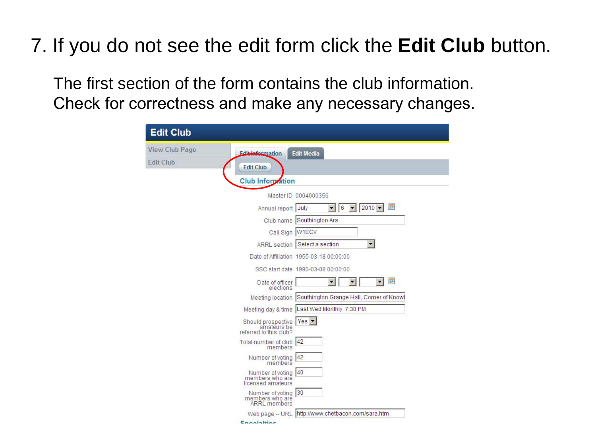## 7. If you do not see the edit form click the **Edit Club** button.

The first section of the form contains the club information. Check for correctness and make any necessary changes.

| <b>Edit Club</b>                                                |                                                                             |
|-----------------------------------------------------------------|-----------------------------------------------------------------------------|
| <b>View Club Page</b><br><b>Fdit Information</b>                | <b>Edit Media</b>                                                           |
| <b>Edit Club</b><br><b>Edit Club</b>                            |                                                                             |
| <b>Club Information</b>                                         |                                                                             |
|                                                                 | Master ID 0004000356                                                        |
|                                                                 | 囲<br> 6<br>$2010 -$<br>Annual report July<br>$\overline{\phantom{a}}$<br>▾⊧ |
|                                                                 | Club name Southington Ara                                                   |
|                                                                 | Call Sign W1ECV                                                             |
|                                                                 | $\blacksquare$<br>ARRL section Select a section                             |
|                                                                 | Date of Affiliation 1955-03-18 00:00:00                                     |
|                                                                 | SSC start date 1990-03-08 00:00:00                                          |
| Date of officer                                                 | F<br>▼<br>elections                                                         |
|                                                                 | Meeting location Southington Grange Hall, Corner of Knowl                   |
|                                                                 | Meeting day & time Last Wed Monthly 7:30 PM                                 |
| Should prospective Yes<br>amateurs be<br>referred to this club? |                                                                             |
| Total number of club  42<br>members                             |                                                                             |
| Number of voting 42<br>members                                  |                                                                             |
| Number of voting<br>members who are<br>licensed amateurs        | 40                                                                          |
| Number of voting 30<br>members who are<br><b>ARRL</b> members   |                                                                             |
| Web page - URL                                                  | http://www.chetbacon.com/sara.htm                                           |
| Connielting                                                     |                                                                             |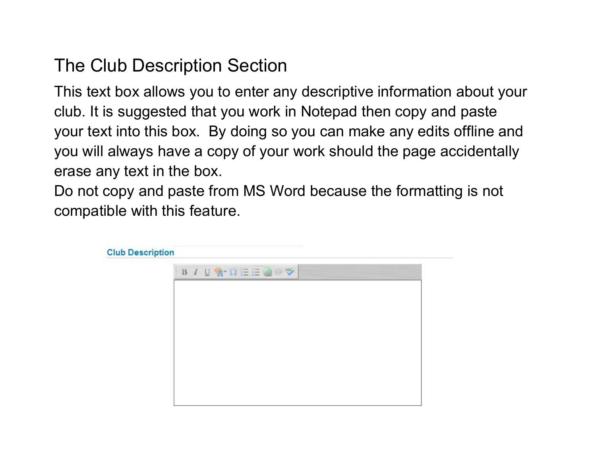### The Club Description Section

This text box allows you to enter any descriptive information about your club. It is suggested that you work in Notepad then copy and paste your text into this box. By doing so you can make any edits offline and you will always have a copy of your work should the page accidentally erase any text in the box.

Do not copy and paste from MS Word because the formatting is not compatible with this feature.

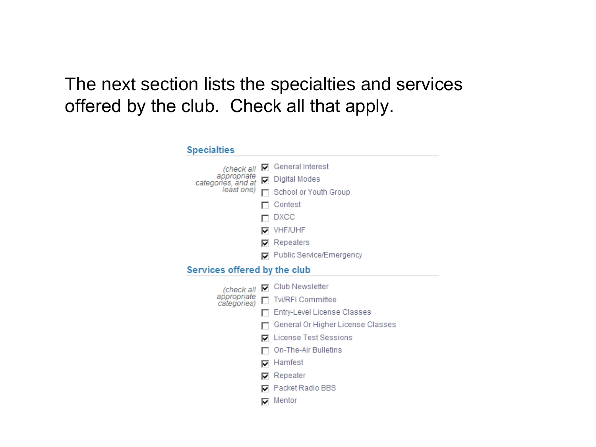#### The next section lists the specialties and services offered by the club. Check all that apply.

#### **Specialties** (check all ☑ General Interest appropriate <br>categories, and at □ Digital Modes least one) School or Youth Group  $\Box$  Contest  $\Box$  DXCC **VHF/UHF**  $\nabla$  Repeaters Public Service/Emergency Services offered by the club  $\nabla$  Club Newsletter (check all appropriate <br>categories) <a>[Detail</a>NG</a>nductions)</a>nductions</a>nductions</a>nductions</a>nductions</a>nductions</a>nductions</a>nductions</a>nductions</a>nductions</a>nductions</a>nductions</a>nductions</a>nductio F Entry-Level License Classes General Or Higher License Classes **D** License Test Sessions On-The-Air Bulletins  $\nabla$  Hamfest  $\nabla$  Repeater Packet Radio BBS  $\nabla$  Mentor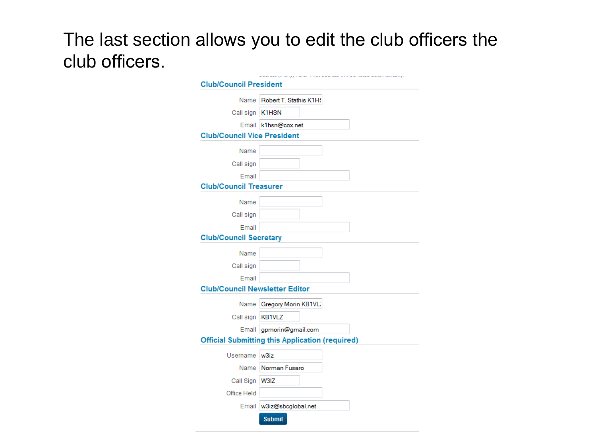#### The last section allows you to edit the club officers the club officers.

| <b>Club/Council President</b>         |                                                        |
|---------------------------------------|--------------------------------------------------------|
|                                       | Name Robert T. Stathis K1H9                            |
| Call sign K1HSN                       |                                                        |
|                                       | Email k1hsn@cox.net                                    |
| <b>Club/Council Vice President</b>    |                                                        |
|                                       |                                                        |
| Name                                  |                                                        |
| Call sign                             |                                                        |
| Email                                 |                                                        |
| <b>Club/Council Treasurer</b>         |                                                        |
| Name                                  |                                                        |
| Call sign                             |                                                        |
| Email                                 |                                                        |
| <b>Club/Council Secretary</b>         |                                                        |
| Name                                  |                                                        |
| Call sign                             |                                                        |
| Email                                 |                                                        |
| <b>Club/Council Newsletter Editor</b> |                                                        |
|                                       | Name Gregory Morin KB1VL                               |
| Call sign KB1VLZ                      |                                                        |
|                                       | Email gpmorin@gmail.com                                |
|                                       | <b>Official Submitting this Application (required)</b> |
|                                       |                                                        |
| Username w3iz                         |                                                        |
|                                       | Name Norman Fusaro                                     |
| Call Sign W3IZ                        |                                                        |
| Office Held                           |                                                        |
|                                       | Email w3iz@sbcglobal.net                               |
|                                       | <b>Submit</b>                                          |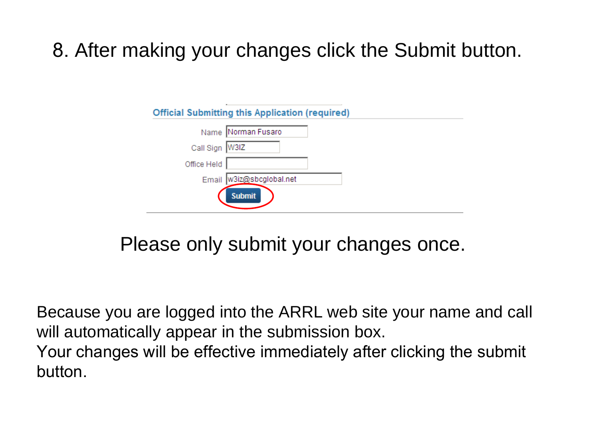### 8. After making your changes click the Submit button.

| <b>Official Submitting this Application (required)</b> |  |
|--------------------------------------------------------|--|
| Name Norman Fusaro                                     |  |
| Call Sign W3IZ                                         |  |
| Office Held                                            |  |
| w3iz@sbcglobal.net<br>Email                            |  |
| <b>Submit</b>                                          |  |

Please only submit your changes once.

Because you are logged into the ARRL web site your name and call will automatically appear in the submission box. Your changes will be effective immediately after clicking the submit button.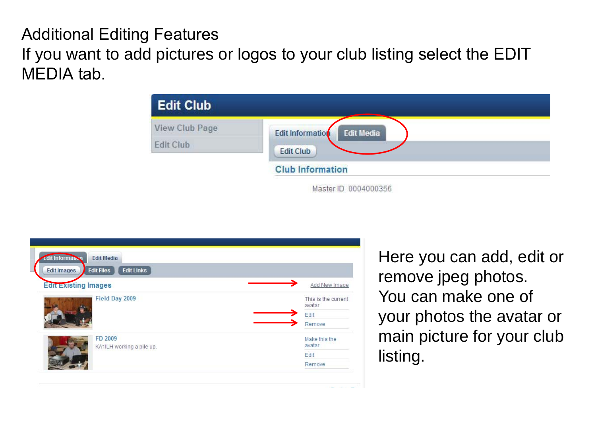#### Additional Editing Features If you want to add pictures or logos to your club listing select the EDIT MEDIA tab.

| <b>Edit Club</b>      |                                              |
|-----------------------|----------------------------------------------|
| <b>View Club Page</b> | <b>Edit Information</b><br><b>Edit Media</b> |
| <b>Edit Club</b>      | <b>Edit Club</b>                             |
|                       | <b>Club Information</b>                      |
|                       | Master ID 0004000356                         |

| <b>Edit Information</b><br><b>Edit Media</b><br><b>Edit Links</b><br><b>Edit Files</b><br><b>Edit Images</b> |                               |  |  |
|--------------------------------------------------------------------------------------------------------------|-------------------------------|--|--|
| <b>Edit Existing Images</b>                                                                                  | Add New Image                 |  |  |
| Field Day 2009                                                                                               | This is the current<br>avatar |  |  |
|                                                                                                              | Edit                          |  |  |
|                                                                                                              | Remove                        |  |  |
| FD 2009                                                                                                      | Make this the                 |  |  |
| KA1ILH working a pile up.                                                                                    | avatar                        |  |  |
|                                                                                                              | Edit                          |  |  |
|                                                                                                              | Remove                        |  |  |

Here you can add, edit or remove jpeg photos. You can make one of your photos the avatar or main picture for your club listing.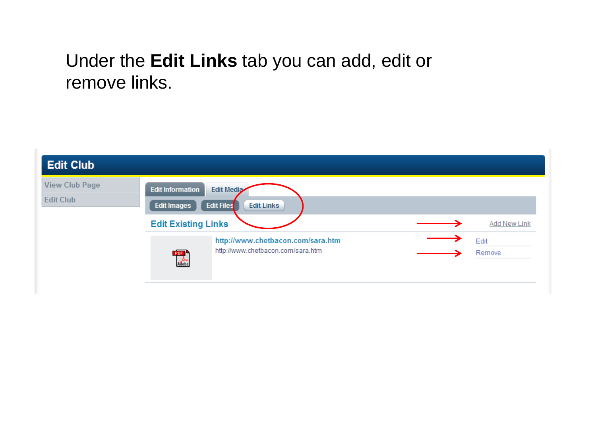### Under the **Edit Links** tab you can add, edit or remove links.